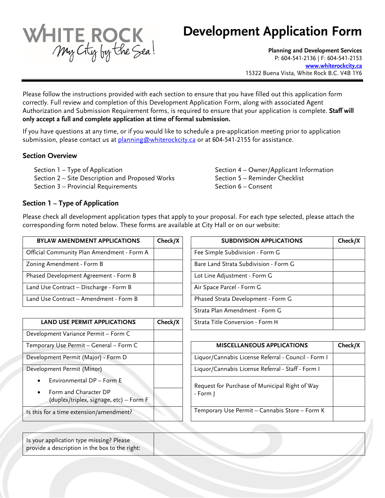

# **Development Application Form**

**Planning and Development Services**  P: 604-541-2136 | F: 604-541-2153 **[www.whiterockcity.ca](http://www.whiterockcity.ca/)** 15322 Buena Vista, White Rock B.C. V4B 1Y6

Please follow the instructions provided with each section to ensure that you have filled out this application form correctly. Full review and completion of this Development Application Form, along with associated Agent Authorization and Submission Requirement forms, is required to ensure that your application is complete. **Staff will only accept a full and complete application at time of formal submission.**

If you have questions at any time, or if you would like to schedule a pre-application meeting prior to application submission, please contact us at [planning@whiterockcity.ca](mailto:planning@whiterockcity.ca) or at 604-541-2155 for assistance.

#### **Section Overview**

Section 1 – Type of Application Section 2 – Site Description and Proposed Works Section 3 – Provincial Requirements

Section 4 – Owner/Applicant Information Section 5 – Reminder Checklist Section 6 – Consent

### **Section 1 – Type of Application**

Please check all development application types that apply to your proposal. For each type selected, please attach the corresponding form noted below. These forms are available at City Hall or on our website:

| Check/X | <b>SUBDIVISION APPLICATIO</b>         |
|---------|---------------------------------------|
|         | Fee Simple Subdivision - Form G       |
|         | Bare Land Strata Subdivision - Form G |
|         | Lot Line Adjustment - Form G          |
|         | Air Space Parcel - Form G             |
|         | Phased Strata Development - Form G    |
|         |                                       |

| <b>LAND USE PERMIT APPLICATIONS</b>     | Check/X | Strata Title Conversion - Form H                    |
|-----------------------------------------|---------|-----------------------------------------------------|
| Development Variance Permit - Form C    |         |                                                     |
| Temporary Use Permit - General - Form C |         | <b>MISCELLANEOUS APPLICATIONS</b>                   |
| Development Permit (Major) - Form D     |         | Liquor/Cannabis License Referral - Council - Form I |
| Development Permit (Minor)              |         | Liquor/Cannabis License Referral - Staff - Form I   |
| Environmental DP - Form E<br>$\bullet$  |         | Request for Purchase of Municipal Right of Way      |
| Form and Character DP<br>$\bullet$      |         | - Form I                                            |
| (duplex/triplex, signage, etc) - Form F |         |                                                     |
| Is this for a time extension/amendment? |         | Temporary Use Permit - Cannabis Store - Form K      |

| <b>BYLAW AMENDMENT APPLICATIONS</b>    | Check/X | <b>SUBDIVISION APPLICATIONS</b>       | Check/X |
|----------------------------------------|---------|---------------------------------------|---------|
| cial Community Plan Amendment - Form A |         | Fee Simple Subdivision - Form G       |         |
| ing Amendment - Form B                 |         | Bare Land Strata Subdivision - Form G |         |
| sed Development Agreement - Form B     |         | Lot Line Adjustment - Form G          |         |
| d Use Contract – Discharge - Form B    |         | Air Space Parcel - Form G             |         |
| d Use Contract – Amendment - Form B    |         | Phased Strata Development - Form G    |         |
|                                        |         | Strata Plan Amendment - Form G        |         |
| <b>LAND USE PERMIT APPLICATIONS</b>    | Check/X | Strata Title Conversion - Form H      |         |

| Temporary Use Permit – General – Form C                          | Check/X<br><b>MISCELLANEOUS APPLICATIONS</b>        |
|------------------------------------------------------------------|-----------------------------------------------------|
| Development Permit (Major) - Form D                              | Liquor/Cannabis License Referral - Council - Form I |
| Development Permit (Minor)                                       | Liquor/Cannabis License Referral - Staff - Form I   |
| Environmental DP - Form E<br>$\bullet$                           | Request for Purchase of Municipal Right of Way      |
| Form and Character DP<br>(duplex/triplex, signage, etc) - Form F | - Form J                                            |
| Is this for a time extension/amendment?                          | Temporary Use Permit - Cannabis Store - Form K      |

Is your application type missing? Please provide a description in the box to the right: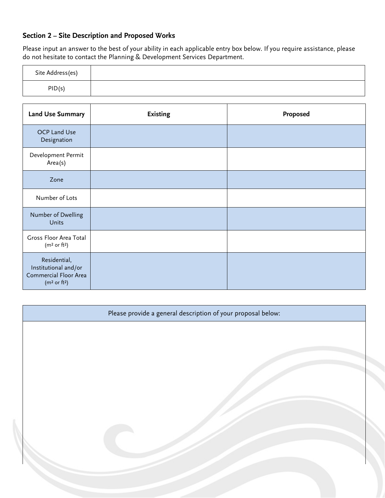# **Section 2 – Site Description and Proposed Works**

Please input an answer to the best of your ability in each applicable entry box below. If you require assistance, please do not hesitate to contact the Planning & Development Services Department.

| Site Address(es) |  |
|------------------|--|
| PID(s)           |  |

| <b>Land Use Summary</b>                                                                               | <b>Existing</b> | Proposed |
|-------------------------------------------------------------------------------------------------------|-----------------|----------|
| OCP Land Use<br>Designation                                                                           |                 |          |
| Development Permit<br>Area(s)                                                                         |                 |          |
| Zone                                                                                                  |                 |          |
| Number of Lots                                                                                        |                 |          |
| Number of Dwelling<br><b>Units</b>                                                                    |                 |          |
| Gross Floor Area Total<br>(m <sup>2</sup> or ft <sup>2</sup> )                                        |                 |          |
| Residential,<br>Institutional and/or<br>Commercial Floor Area<br>(m <sup>2</sup> or ft <sup>2</sup> ) |                 |          |

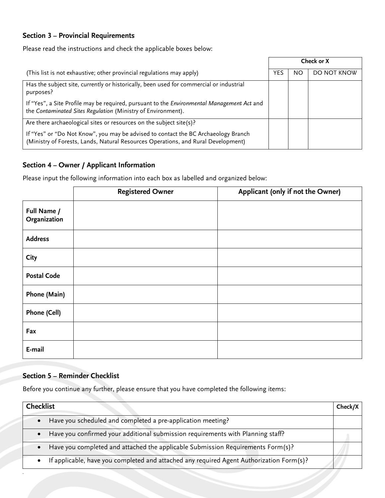# **Section 3 – Provincial Requirements**

Please read the instructions and check the applicable boxes below:

|                                                                                                                                                                         | Check or X |    |             |
|-------------------------------------------------------------------------------------------------------------------------------------------------------------------------|------------|----|-------------|
| (This list is not exhaustive; other provincial regulations may apply)                                                                                                   | YES        | ΝO | DO NOT KNOW |
| Has the subject site, currently or historically, been used for commercial or industrial<br>purposes?                                                                    |            |    |             |
| If "Yes", a Site Profile may be required, pursuant to the Environmental Management Act and<br>the Contaminated Sites Regulation (Ministry of Environment).              |            |    |             |
| Are there archaeological sites or resources on the subject site(s)?                                                                                                     |            |    |             |
| If "Yes" or "Do Not Know", you may be advised to contact the BC Archaeology Branch<br>(Ministry of Forests, Lands, Natural Resources Operations, and Rural Development) |            |    |             |

# **Section 4 – Owner / Applicant Information**

Please input the following information into each box as labelled and organized below:

|                             | <b>Registered Owner</b> | Applicant (only if not the Owner) |
|-----------------------------|-------------------------|-----------------------------------|
| Full Name /<br>Organization |                         |                                   |
| <b>Address</b>              |                         |                                   |
| City                        |                         |                                   |
| <b>Postal Code</b>          |                         |                                   |
| Phone (Main)                |                         |                                   |
| Phone (Cell)                |                         |                                   |
| Fax                         |                         |                                   |
| E-mail                      |                         |                                   |

# **Section 5 – Reminder Checklist**

*.*

Before you continue any further, please ensure that you have completed the following items:

| <b>Checklist</b>                                                                             | Check/X |
|----------------------------------------------------------------------------------------------|---------|
| Have you scheduled and completed a pre-application meeting?<br>$\bullet$                     |         |
| • Have you confirmed your additional submission requirements with Planning staff?            |         |
| Have you completed and attached the applicable Submission Requirements Form(s)?<br>$\bullet$ |         |
| • If applicable, have you completed and attached any required Agent Authorization Form(s)?   |         |